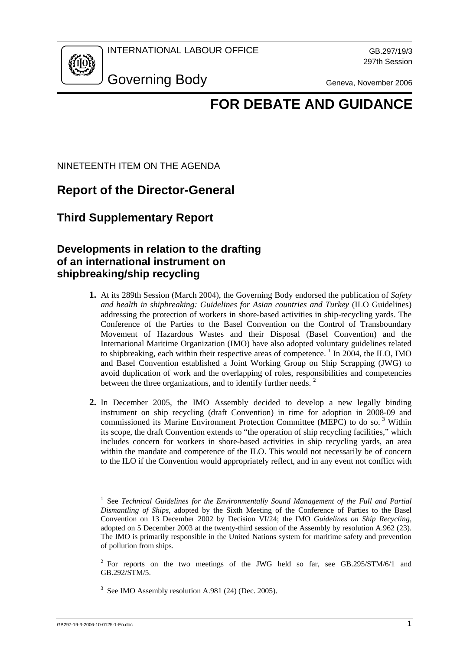

## **FOR DEBATE AND GUIDANCE**

NINETEENTH ITEM ON THE AGENDA

## **Report of the Director-General**

**Third Supplementary Report** 

## **Developments in relation to the drafting of an international instrument on shipbreaking/ship recycling**

- **1.** At its 289th Session (March 2004), the Governing Body endorsed the publication of *Safety and health in shipbreaking: Guidelines for Asian countries and Turkey* (ILO Guidelines) addressing the protection of workers in shore-based activities in ship-recycling yards. The Conference of the Parties to the Basel Convention on the Control of Transboundary Movement of Hazardous Wastes and their Disposal (Basel Convention) and the International Maritime Organization (IMO) have also adopted voluntary guidelines related to shipbreaking, each within their respective areas of competence.<sup>1</sup> In 2004, the ILO, IMO and Basel Convention established a Joint Working Group on Ship Scrapping (JWG) to avoid duplication of work and the overlapping of roles, responsibilities and competencies between the three organizations, and to identify further needs.<sup>2</sup>
- **2.** In December 2005, the IMO Assembly decided to develop a new legally binding instrument on ship recycling (draft Convention) in time for adoption in 2008-09 and commissioned its Marine Environment Protection Committee (MEPC) to do so.<sup>3</sup> Within its scope, the draft Convention extends to "the operation of ship recycling facilities," which includes concern for workers in shore-based activities in ship recycling yards, an area within the mandate and competence of the ILO. This would not necessarily be of concern to the ILO if the Convention would appropriately reflect, and in any event not conflict with

<sup>2</sup> For reports on the two meetings of the JWG held so far, see GB.295/STM/6/1 and GB.292/STM/5.

<sup>3</sup> See IMO Assembly resolution A.981 (24) (Dec. 2005).

<sup>&</sup>lt;sup>1</sup> See *Technical Guidelines for the Environmentally Sound Management of the Full and Partial Dismantling of Ships,* adopted by the Sixth Meeting of the Conference of Parties to the Basel Convention on 13 December 2002 by Decision VI/24; the IMO *Guidelines on Ship Recycling*, adopted on 5 December 2003 at the twenty-third session of the Assembly by resolution A.962 (23). The IMO is primarily responsible in the United Nations system for maritime safety and prevention of pollution from ships.